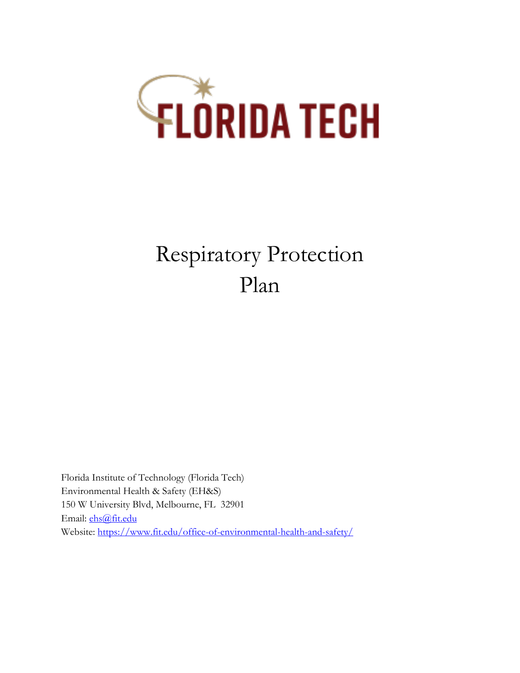

# Respiratory Protection Plan

Florida Institute of Technology (Florida Tech) Environmental Health & Safety (EH&S) 150 W University Blvd, Melbourne, FL 32901 Email: [ehs@fit.edu](mailto:ehs@fit.edu) Website:<https://www.fit.edu/office-of-environmental-health-and-safety/>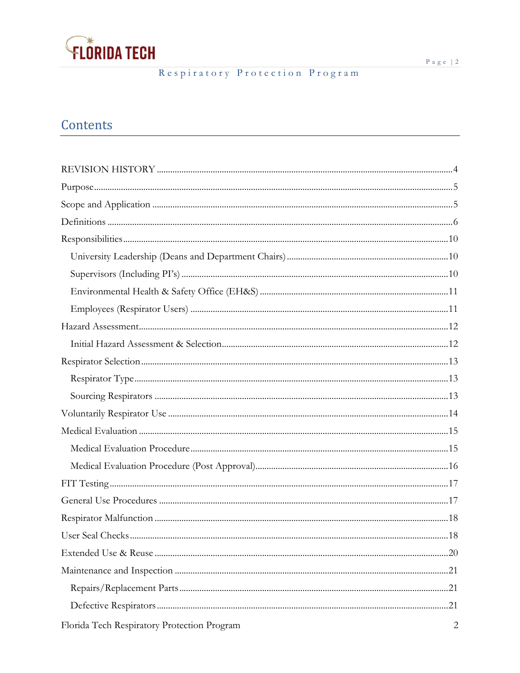

# Contents

| Florida Tech Respiratory Protection Program | 2 |
|---------------------------------------------|---|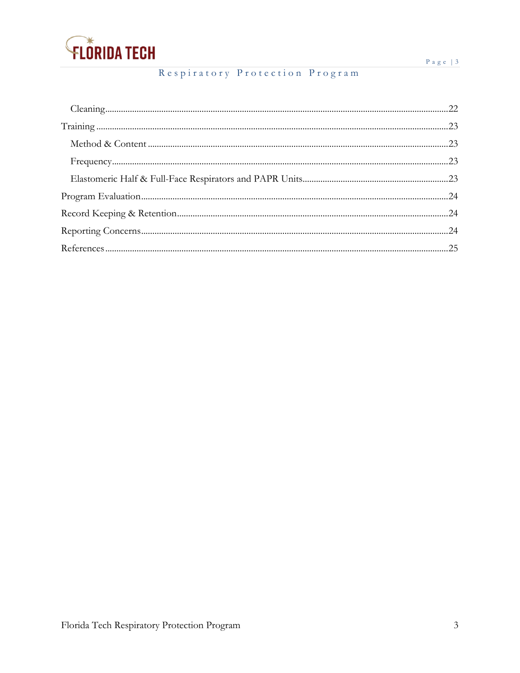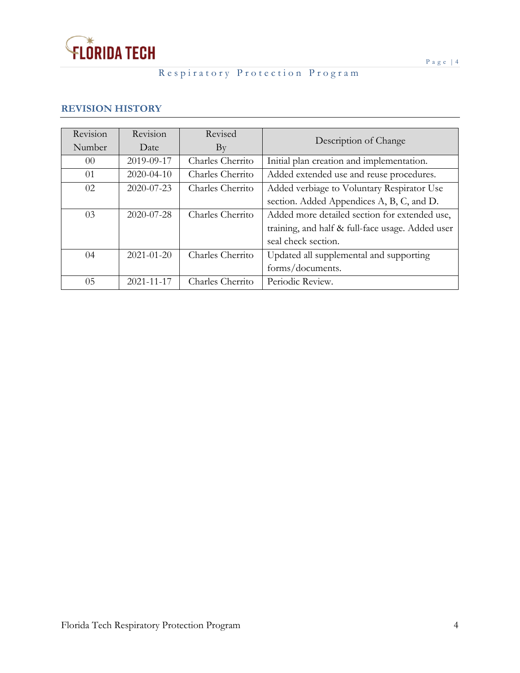

# <span id="page-3-0"></span>**REVISION HISTORY**

| Revision<br>Number | Revision<br>Date | Revised<br>$\rm{By}$ | Description of Change                            |
|--------------------|------------------|----------------------|--------------------------------------------------|
| 0 <sup>0</sup>     | 2019-09-17       | Charles Cherrito     | Initial plan creation and implementation.        |
| 01                 | $2020 - 04 - 10$ | Charles Cherrito     | Added extended use and reuse procedures.         |
| 02                 | $2020 - 07 - 23$ | Charles Cherrito     | Added verbiage to Voluntary Respirator Use       |
|                    |                  |                      | section. Added Appendices A, B, C, and D.        |
| 03                 | 2020-07-28       | Charles Cherrito     | Added more detailed section for extended use,    |
|                    |                  |                      | training, and half & full-face usage. Added user |
|                    |                  |                      | seal check section.                              |
| 04                 | $2021 - 01 - 20$ | Charles Cherrito     | Updated all supplemental and supporting          |
|                    |                  |                      | forms/documents.                                 |
| 05                 | 2021-11-17       | Charles Cherrito     | Periodic Review.                                 |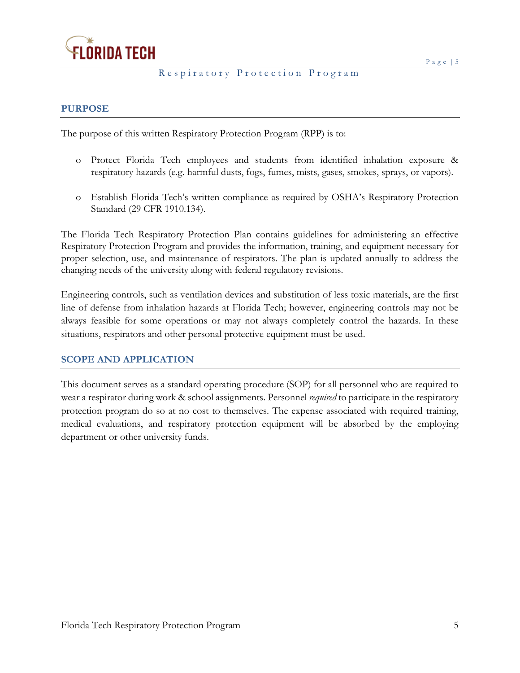

## <span id="page-4-0"></span>**PURPOSE**

The purpose of this written Respiratory Protection Program (RPP) is to:

- o Protect Florida Tech employees and students from identified inhalation exposure & respiratory hazards (e.g. harmful dusts, fogs, fumes, mists, gases, smokes, sprays, or vapors).
- o Establish Florida Tech's written compliance as required by OSHA's Respiratory Protection Standard (29 CFR 1910.134).

The Florida Tech Respiratory Protection Plan contains guidelines for administering an effective Respiratory Protection Program and provides the information, training, and equipment necessary for proper selection, use, and maintenance of respirators. The plan is updated annually to address the changing needs of the university along with federal regulatory revisions.

Engineering controls, such as ventilation devices and substitution of less toxic materials, are the first line of defense from inhalation hazards at Florida Tech; however, engineering controls may not be always feasible for some operations or may not always completely control the hazards. In these situations, respirators and other personal protective equipment must be used.

# <span id="page-4-1"></span>**SCOPE AND APPLICATION**

This document serves as a standard operating procedure (SOP) for all personnel who are required to wear a respirator during work & school assignments. Personnel *required* to participate in the respiratory protection program do so at no cost to themselves. The expense associated with required training, medical evaluations, and respiratory protection equipment will be absorbed by the employing department or other university funds.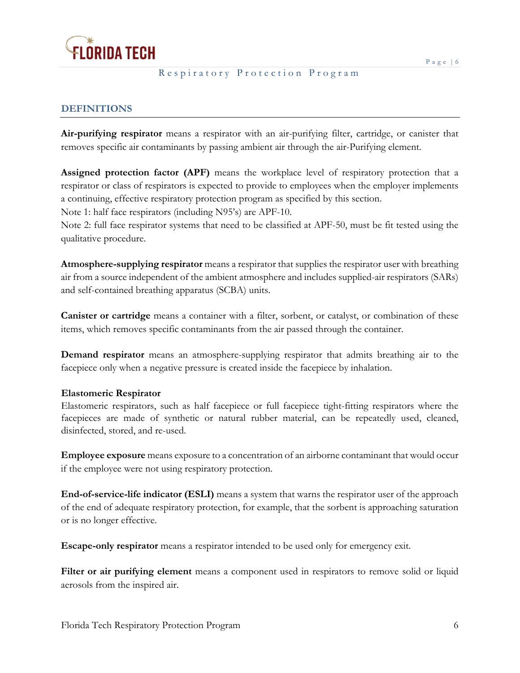

# <span id="page-5-0"></span>**DEFINITIONS**

**Air-purifying respirator** means a respirator with an air-purifying filter, cartridge, or canister that removes specific air contaminants by passing ambient air through the air-Purifying element.

**Assigned protection factor (APF)** means the workplace level of respiratory protection that a respirator or class of respirators is expected to provide to employees when the employer implements a continuing, effective respiratory protection program as specified by this section.

Note 1: half face respirators (including N95's) are APF-10.

Note 2: full face respirator systems that need to be classified at APF-50, must be fit tested using the qualitative procedure.

**Atmosphere-supplying respirator** means a respirator that supplies the respirator user with breathing air from a source independent of the ambient atmosphere and includes supplied-air respirators (SARs) and self-contained breathing apparatus (SCBA) units.

**Canister or cartridge** means a container with a filter, sorbent, or catalyst, or combination of these items, which removes specific contaminants from the air passed through the container.

**Demand respirator** means an atmosphere-supplying respirator that admits breathing air to the facepiece only when a negative pressure is created inside the facepiece by inhalation.

# **Elastomeric Respirator**

Elastomeric respirators, such as half facepiece or full facepiece tight-fitting respirators where the facepieces are made of synthetic or natural rubber material, can be repeatedly used, cleaned, disinfected, stored, and re-used.

**Employee exposure** means exposure to a concentration of an airborne contaminant that would occur if the employee were not using respiratory protection.

**End-of-service-life indicator (ESLI)** means a system that warns the respirator user of the approach of the end of adequate respiratory protection, for example, that the sorbent is approaching saturation or is no longer effective.

**Escape-only respirator** means a respirator intended to be used only for emergency exit.

Filter or air purifying element means a component used in respirators to remove solid or liquid aerosols from the inspired air.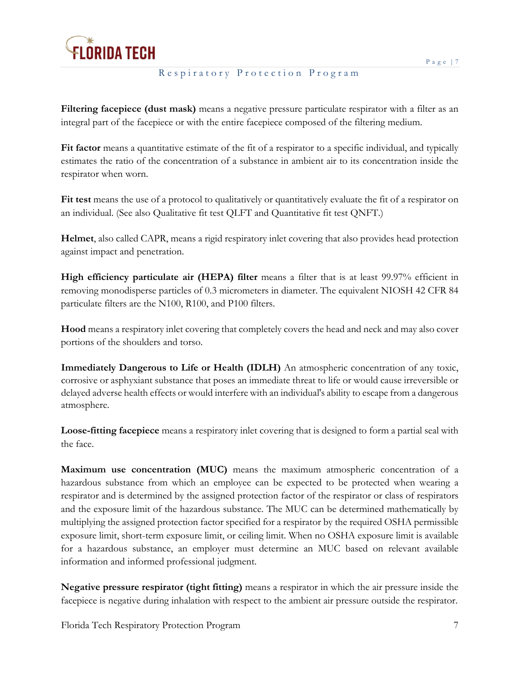

**Filtering facepiece (dust mask)** means a negative pressure particulate respirator with a filter as an integral part of the facepiece or with the entire facepiece composed of the filtering medium.

**Fit factor** means a quantitative estimate of the fit of a respirator to a specific individual, and typically estimates the ratio of the concentration of a substance in ambient air to its concentration inside the respirator when worn.

**Fit test** means the use of a protocol to qualitatively or quantitatively evaluate the fit of a respirator on an individual. (See also Qualitative fit test QLFT and Quantitative fit test QNFT.)

**Helmet**, also called CAPR, means a rigid respiratory inlet covering that also provides head protection against impact and penetration.

**High efficiency particulate air (HEPA) filter** means a filter that is at least 99.97% efficient in removing monodisperse particles of 0.3 micrometers in diameter. The equivalent NIOSH 42 CFR 84 particulate filters are the N100, R100, and P100 filters.

**Hood** means a respiratory inlet covering that completely covers the head and neck and may also cover portions of the shoulders and torso.

**Immediately Dangerous to Life or Health (IDLH)** An atmospheric concentration of any toxic, corrosive or asphyxiant substance that poses an immediate threat to life or would cause irreversible or delayed adverse health effects or would interfere with an individual's ability to escape from a dangerous atmosphere.

**Loose-fitting facepiece** means a respiratory inlet covering that is designed to form a partial seal with the face.

**Maximum use concentration (MUC)** means the maximum atmospheric concentration of a hazardous substance from which an employee can be expected to be protected when wearing a respirator and is determined by the assigned protection factor of the respirator or class of respirators and the exposure limit of the hazardous substance. The MUC can be determined mathematically by multiplying the assigned protection factor specified for a respirator by the required OSHA permissible exposure limit, short-term exposure limit, or ceiling limit. When no OSHA exposure limit is available for a hazardous substance, an employer must determine an MUC based on relevant available information and informed professional judgment.

**Negative pressure respirator (tight fitting)** means a respirator in which the air pressure inside the facepiece is negative during inhalation with respect to the ambient air pressure outside the respirator.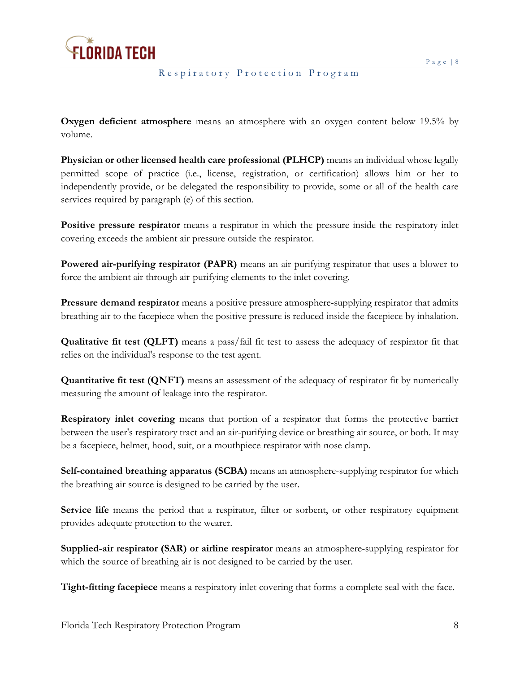

**Oxygen deficient atmosphere** means an atmosphere with an oxygen content below 19.5% by volume.

**Physician or other licensed health care professional (PLHCP)** means an individual whose legally permitted scope of practice (i.e., license, registration, or certification) allows him or her to independently provide, or be delegated the responsibility to provide, some or all of the health care services required by paragraph (e) of this section.

**Positive pressure respirator** means a respirator in which the pressure inside the respiratory inlet covering exceeds the ambient air pressure outside the respirator.

**Powered air-purifying respirator (PAPR)** means an air-purifying respirator that uses a blower to force the ambient air through air-purifying elements to the inlet covering.

**Pressure demand respirator** means a positive pressure atmosphere-supplying respirator that admits breathing air to the facepiece when the positive pressure is reduced inside the facepiece by inhalation.

**Qualitative fit test (QLFT)** means a pass/fail fit test to assess the adequacy of respirator fit that relies on the individual's response to the test agent.

**Quantitative fit test (QNFT)** means an assessment of the adequacy of respirator fit by numerically measuring the amount of leakage into the respirator.

**Respiratory inlet covering** means that portion of a respirator that forms the protective barrier between the user's respiratory tract and an air-purifying device or breathing air source, or both. It may be a facepiece, helmet, hood, suit, or a mouthpiece respirator with nose clamp.

**Self-contained breathing apparatus (SCBA)** means an atmosphere-supplying respirator for which the breathing air source is designed to be carried by the user.

**Service life** means the period that a respirator, filter or sorbent, or other respiratory equipment provides adequate protection to the wearer.

**Supplied-air respirator (SAR) or airline respirator** means an atmosphere-supplying respirator for which the source of breathing air is not designed to be carried by the user.

**Tight-fitting facepiece** means a respiratory inlet covering that forms a complete seal with the face.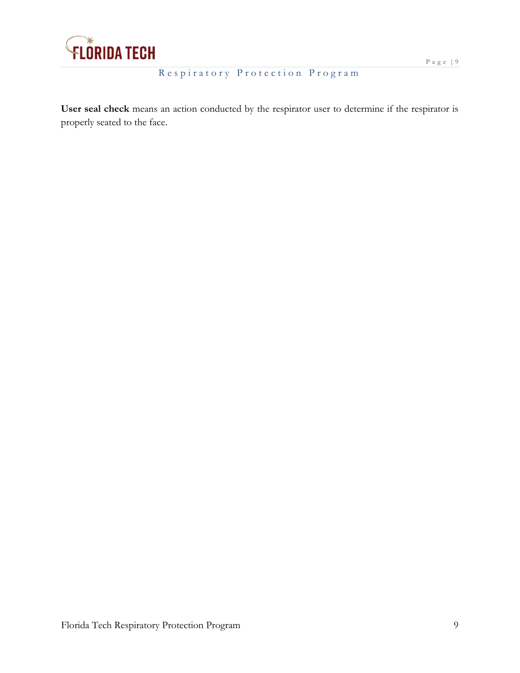

**User seal check** means an action conducted by the respirator user to determine if the respirator is properly seated to the face.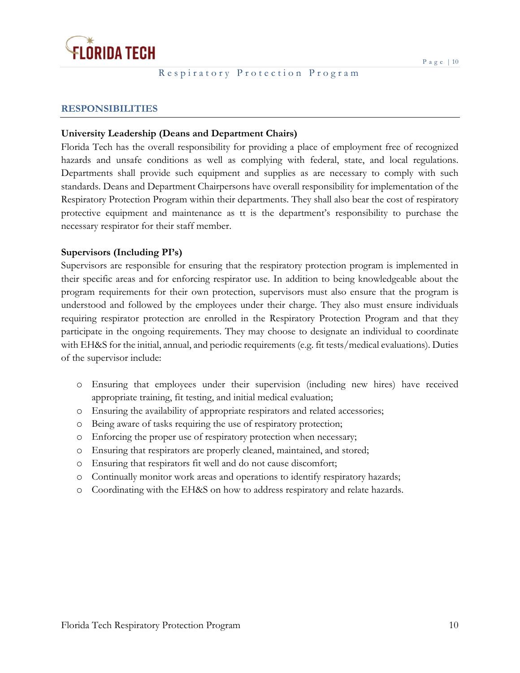

#### <span id="page-9-0"></span>**RESPONSIBILITIES**

#### <span id="page-9-1"></span>**University Leadership (Deans and Department Chairs)**

Florida Tech has the overall responsibility for providing a place of employment free of recognized hazards and unsafe conditions as well as complying with federal, state, and local regulations. Departments shall provide such equipment and supplies as are necessary to comply with such standards. Deans and Department Chairpersons have overall responsibility for implementation of the Respiratory Protection Program within their departments. They shall also bear the cost of respiratory protective equipment and maintenance as tt is the department's responsibility to purchase the necessary respirator for their staff member.

#### <span id="page-9-2"></span>**Supervisors (Including PI's)**

Supervisors are responsible for ensuring that the respiratory protection program is implemented in their specific areas and for enforcing respirator use. In addition to being knowledgeable about the program requirements for their own protection, supervisors must also ensure that the program is understood and followed by the employees under their charge. They also must ensure individuals requiring respirator protection are enrolled in the Respiratory Protection Program and that they participate in the ongoing requirements. They may choose to designate an individual to coordinate with EH&S for the initial, annual, and periodic requirements (e.g. fit tests/medical evaluations). Duties of the supervisor include:

- o Ensuring that employees under their supervision (including new hires) have received appropriate training, fit testing, and initial medical evaluation;
- o Ensuring the availability of appropriate respirators and related accessories;
- o Being aware of tasks requiring the use of respiratory protection;
- o Enforcing the proper use of respiratory protection when necessary;
- o Ensuring that respirators are properly cleaned, maintained, and stored;
- o Ensuring that respirators fit well and do not cause discomfort;
- o Continually monitor work areas and operations to identify respiratory hazards;
- o Coordinating with the EH&S on how to address respiratory and relate hazards.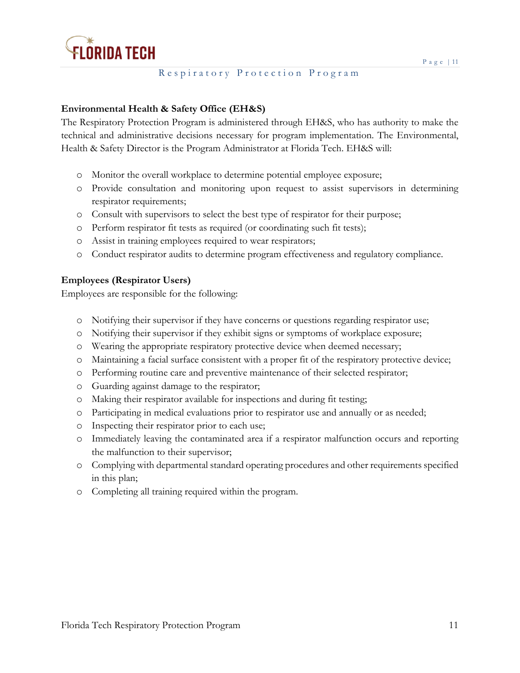

# <span id="page-10-0"></span>**Environmental Health & Safety Office (EH&S)**

The Respiratory Protection Program is administered through EH&S, who has authority to make the technical and administrative decisions necessary for program implementation. The Environmental, Health & Safety Director is the Program Administrator at Florida Tech. EH&S will:

- o Monitor the overall workplace to determine potential employee exposure;
- o Provide consultation and monitoring upon request to assist supervisors in determining respirator requirements;
- o Consult with supervisors to select the best type of respirator for their purpose;
- o Perform respirator fit tests as required (or coordinating such fit tests);
- o Assist in training employees required to wear respirators;
- o Conduct respirator audits to determine program effectiveness and regulatory compliance.

# <span id="page-10-1"></span>**Employees (Respirator Users)**

Employees are responsible for the following:

- o Notifying their supervisor if they have concerns or questions regarding respirator use;
- o Notifying their supervisor if they exhibit signs or symptoms of workplace exposure;
- o Wearing the appropriate respiratory protective device when deemed necessary;
- o Maintaining a facial surface consistent with a proper fit of the respiratory protective device;
- o Performing routine care and preventive maintenance of their selected respirator;
- o Guarding against damage to the respirator;
- o Making their respirator available for inspections and during fit testing;
- o Participating in medical evaluations prior to respirator use and annually or as needed;
- o Inspecting their respirator prior to each use;
- o Immediately leaving the contaminated area if a respirator malfunction occurs and reporting the malfunction to their supervisor;
- o Complying with departmental standard operating procedures and other requirements specified in this plan;
- o Completing all training required within the program.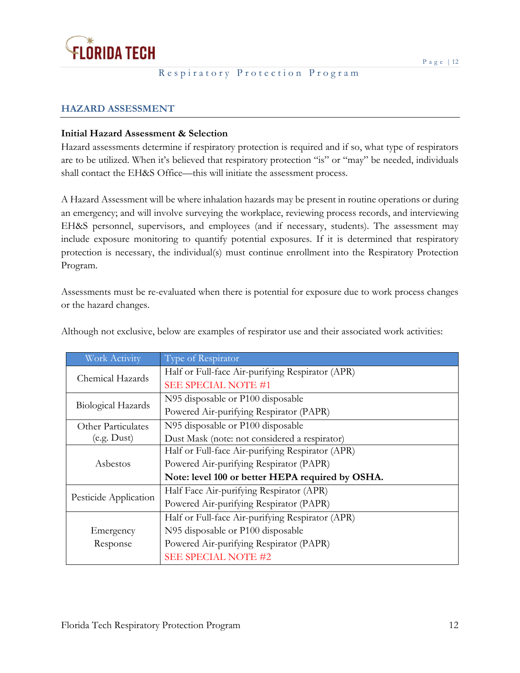

## <span id="page-11-0"></span>**HAZARD ASSESSMENT**

#### <span id="page-11-1"></span>**Initial Hazard Assessment & Selection**

Hazard assessments determine if respiratory protection is required and if so, what type of respirators are to be utilized. When it's believed that respiratory protection "is" or "may" be needed, individuals shall contact the EH&S Office—this will initiate the assessment process.

A Hazard Assessment will be where inhalation hazards may be present in routine operations or during an emergency; and will involve surveying the workplace, reviewing process records, and interviewing EH&S personnel, supervisors, and employees (and if necessary, students). The assessment may include exposure monitoring to quantify potential exposures. If it is determined that respiratory protection is necessary, the individual(s) must continue enrollment into the Respiratory Protection Program.

Assessments must be re-evaluated when there is potential for exposure due to work process changes or the hazard changes.

| Work Activity                                                | Type of Respirator                               |  |  |
|--------------------------------------------------------------|--------------------------------------------------|--|--|
| Chemical Hazards                                             | Half or Full-face Air-purifying Respirator (APR) |  |  |
|                                                              | <b>SEE SPECIAL NOTE #1</b>                       |  |  |
| <b>Biological Hazards</b>                                    | N95 disposable or P100 disposable                |  |  |
|                                                              | Powered Air-purifying Respirator (PAPR)          |  |  |
| N95 disposable or P100 disposable<br>Other Particulates      |                                                  |  |  |
| (e.g. Dust)<br>Dust Mask (note: not considered a respirator) |                                                  |  |  |
| Asbestos                                                     | Half or Full-face Air-purifying Respirator (APR) |  |  |
|                                                              | Powered Air-purifying Respirator (PAPR)          |  |  |
|                                                              | Note: level 100 or better HEPA required by OSHA. |  |  |
|                                                              | Half Face Air-purifying Respirator (APR)         |  |  |
| Pesticide Application                                        | Powered Air-purifying Respirator (PAPR)          |  |  |
|                                                              | Half or Full-face Air-purifying Respirator (APR) |  |  |
| Emergency                                                    | N95 disposable or P100 disposable                |  |  |
| Response                                                     | Powered Air-purifying Respirator (PAPR)          |  |  |
|                                                              | <b>SEE SPECIAL NOTE #2</b>                       |  |  |

Although not exclusive, below are examples of respirator use and their associated work activities: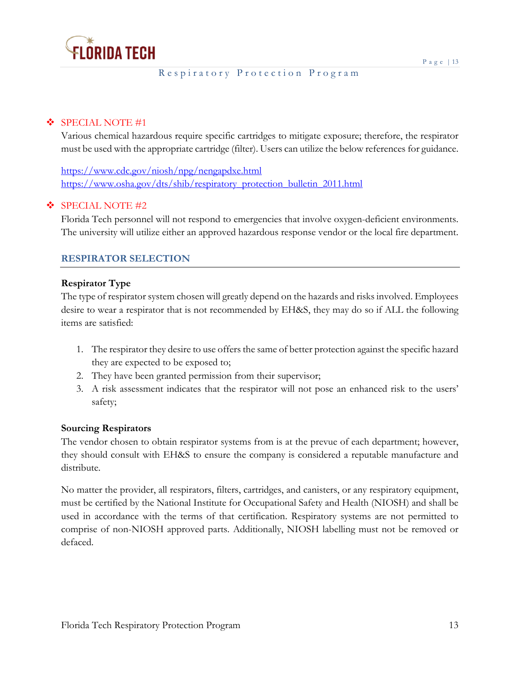

# SPECIAL NOTE #1

Various chemical hazardous require specific cartridges to mitigate exposure; therefore, the respirator must be used with the appropriate cartridge (filter). Users can utilize the below references for guidance.

<https://www.cdc.gov/niosh/npg/nengapdxe.html> [https://www.osha.gov/dts/shib/respiratory\\_protection\\_bulletin\\_2011.html](https://www.osha.gov/dts/shib/respiratory_protection_bulletin_2011.html)

# ◆ SPECIAL NOTE #2

Florida Tech personnel will not respond to emergencies that involve oxygen-deficient environments. The university will utilize either an approved hazardous response vendor or the local fire department.

# <span id="page-12-0"></span>**RESPIRATOR SELECTION**

#### <span id="page-12-1"></span>**Respirator Type**

The type of respirator system chosen will greatly depend on the hazards and risks involved. Employees desire to wear a respirator that is not recommended by EH&S, they may do so if ALL the following items are satisfied:

- 1. The respirator they desire to use offers the same of better protection against the specific hazard they are expected to be exposed to;
- 2. They have been granted permission from their supervisor;
- 3. A risk assessment indicates that the respirator will not pose an enhanced risk to the users' safety;

#### <span id="page-12-2"></span>**Sourcing Respirators**

The vendor chosen to obtain respirator systems from is at the prevue of each department; however, they should consult with EH&S to ensure the company is considered a reputable manufacture and distribute.

No matter the provider, all respirators, filters, cartridges, and canisters, or any respiratory equipment, must be certified by the National Institute for Occupational Safety and Health (NIOSH) and shall be used in accordance with the terms of that certification. Respiratory systems are not permitted to comprise of non-NIOSH approved parts. Additionally, NIOSH labelling must not be removed or defaced.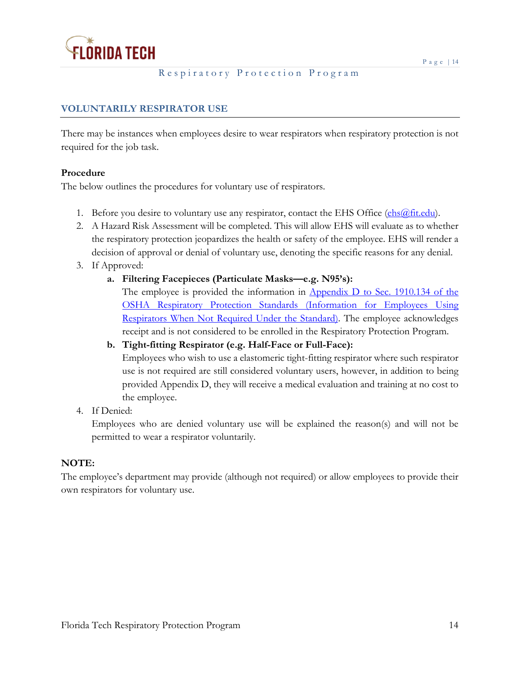

# <span id="page-13-0"></span>**VOLUNTARILY RESPIRATOR USE**

There may be instances when employees desire to wear respirators when respiratory protection is not required for the job task.

#### **Procedure**

The below outlines the procedures for voluntary use of respirators.

- 1. Before you desire to voluntary use any respirator, contact the EHS Office  $(e\text{hs}(\theta)$ fit.edu).
- 2. A Hazard Risk Assessment will be completed. This will allow EHS will evaluate as to whether the respiratory protection jeopardizes the health or safety of the employee. EHS will render a decision of approval or denial of voluntary use, denoting the specific reasons for any denial.
- 3. If Approved:
	- **a. Filtering Facepieces (Particulate Masks—e.g. N95's):**

The employee is provided the information in Appendix D to Sec. 1910.134 of the [OSHA Respiratory Protection Standards \(Information for Employees Using](https://www.osha.gov/laws-regs/regulations/standardnumber/1910/1910.134AppD)  [Respirators When Not Required Under the Standard\).](https://www.osha.gov/laws-regs/regulations/standardnumber/1910/1910.134AppD) The employee acknowledges receipt and is not considered to be enrolled in the Respiratory Protection Program.

- **b. Tight-fitting Respirator (e.g. Half-Face or Full-Face):** Employees who wish to use a elastomeric tight-fitting respirator where such respirator use is not required are still considered voluntary users, however, in addition to being provided Appendix D, they will receive a medical evaluation and training at no cost to the employee.
- 4. If Denied:

Employees who are denied voluntary use will be explained the reason(s) and will not be permitted to wear a respirator voluntarily.

# **NOTE:**

The employee's department may provide (although not required) or allow employees to provide their own respirators for voluntary use.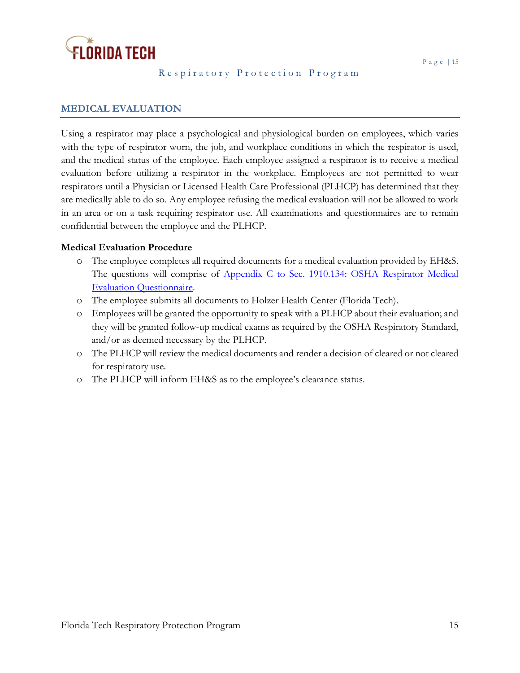

# <span id="page-14-0"></span>**MEDICAL EVALUATION**

Using a respirator may place a psychological and physiological burden on employees, which varies with the type of respirator worn, the job, and workplace conditions in which the respirator is used, and the medical status of the employee. Each employee assigned a respirator is to receive a medical evaluation before utilizing a respirator in the workplace. Employees are not permitted to wear respirators until a Physician or Licensed Health Care Professional (PLHCP) has determined that they are medically able to do so. Any employee refusing the medical evaluation will not be allowed to work in an area or on a task requiring respirator use. All examinations and questionnaires are to remain confidential between the employee and the PLHCP.

# <span id="page-14-1"></span>**Medical Evaluation Procedure**

- o The employee completes all required documents for a medical evaluation provided by EH&S. The questions will comprise of [Appendix C to Sec. 1910.134: OSHA Respirator Medical](https://www.osha.gov/laws-regs/regulations/standardnumber/1910/1910.134AppC)  [Evaluation Questionnaire.](https://www.osha.gov/laws-regs/regulations/standardnumber/1910/1910.134AppC)
- o The employee submits all documents to Holzer Health Center (Florida Tech).
- o Employees will be granted the opportunity to speak with a PLHCP about their evaluation; and they will be granted follow-up medical exams as required by the OSHA Respiratory Standard, and/or as deemed necessary by the PLHCP.
- o The PLHCP will review the medical documents and render a decision of cleared or not cleared for respiratory use.
- <span id="page-14-2"></span>o The PLHCP will inform EH&S as to the employee's clearance status.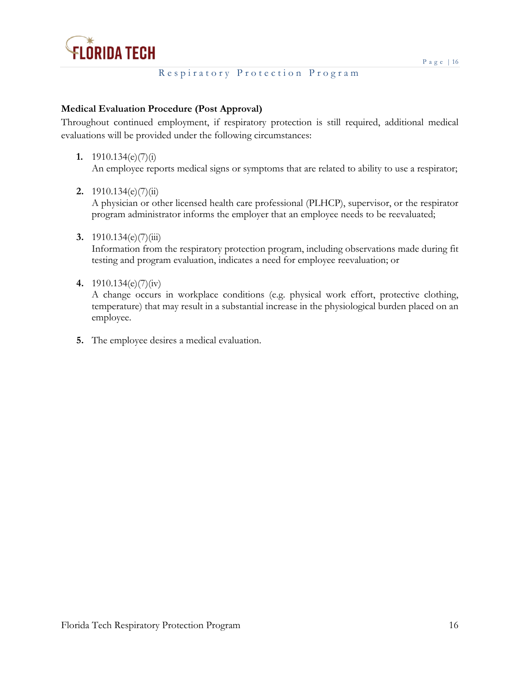

# **Medical Evaluation Procedure (Post Approval)**

Throughout continued employment, if respiratory protection is still required, additional medical evaluations will be provided under the following circumstances:

- **1.** 1910.134(e)(7)(i) An employee reports medical signs or symptoms that are related to ability to use a respirator;
- **2.** 1910.134(e)(7)(ii)

A physician or other licensed health care professional (PLHCP), supervisor, or the respirator program administrator informs the employer that an employee needs to be reevaluated;

**3.** 1910.134(e)(7)(iii)

Information from the respiratory protection program, including observations made during fit testing and program evaluation, indicates a need for employee reevaluation; or

**4.** 1910.134(e)(7)(iv)

A change occurs in workplace conditions (e.g. physical work effort, protective clothing, temperature) that may result in a substantial increase in the physiological burden placed on an employee.

**5.** The employee desires a medical evaluation.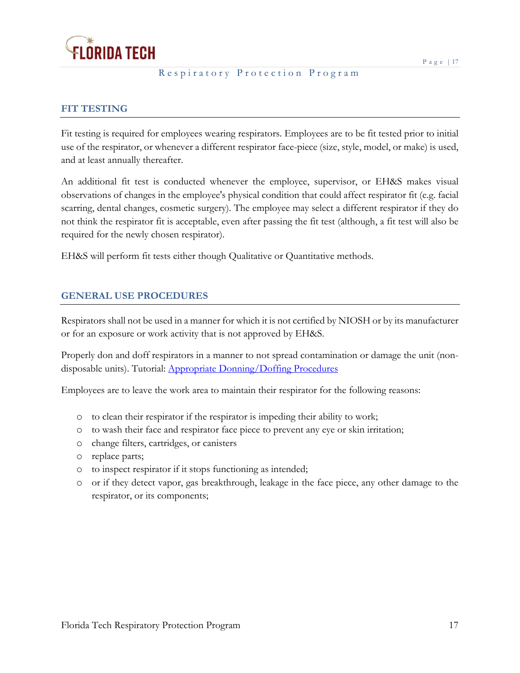

# <span id="page-16-0"></span>**FIT TESTING**

Fit testing is required for employees wearing respirators. Employees are to be fit tested prior to initial use of the respirator, or whenever a different respirator face-piece (size, style, model, or make) is used, and at least annually thereafter.

An additional fit test is conducted whenever the employee, supervisor, or EH&S makes visual observations of changes in the employee's physical condition that could affect respirator fit (e.g. facial scarring, dental changes, cosmetic surgery). The employee may select a different respirator if they do not think the respirator fit is acceptable, even after passing the fit test (although, a fit test will also be required for the newly chosen respirator).

EH&S will perform fit tests either though Qualitative or Quantitative methods.

# <span id="page-16-1"></span>**GENERAL USE PROCEDURES**

Respirators shall not be used in a manner for which it is not certified by NIOSH or by its manufacturer or for an exposure or work activity that is not approved by EH&S.

Properly don and doff respirators in a manner to not spread contamination or damage the unit (nondisposable units). Tutorial: [Appropriate Donning/Doffing Procedures](https://www.cdc.gov/niosh/npptl/pdfs/PPE-Sequence-508.pdf)

Employees are to leave the work area to maintain their respirator for the following reasons:

- o to clean their respirator if the respirator is impeding their ability to work;
- o to wash their face and respirator face piece to prevent any eye or skin irritation;
- o change filters, cartridges, or canisters
- o replace parts;
- o to inspect respirator if it stops functioning as intended;
- <span id="page-16-2"></span>o or if they detect vapor, gas breakthrough, leakage in the face piece, any other damage to the respirator, or its components;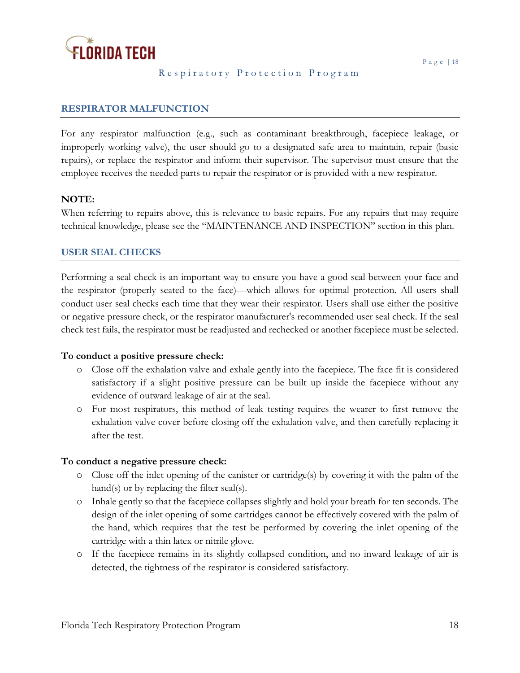

#### **RESPIRATOR MALFUNCTION**

For any respirator malfunction (e.g., such as contaminant breakthrough, facepiece leakage, or improperly working valve), the user should go to a designated safe area to maintain, repair (basic repairs), or replace the respirator and inform their supervisor. The supervisor must ensure that the employee receives the needed parts to repair the respirator or is provided with a new respirator.

#### **NOTE:**

When referring to repairs above, this is relevance to basic repairs. For any repairs that may require technical knowledge, please see the "MAINTENANCE AND INSPECTION" section in this plan.

#### <span id="page-17-0"></span>**USER SEAL CHECKS**

Performing a seal check is an important way to ensure you have a good seal between your face and the respirator (properly seated to the face)—which allows for optimal protection. All users shall conduct user seal checks each time that they wear their respirator. Users shall use either the positive or negative pressure check, or the respirator manufacturer's recommended user seal check. If the seal check test fails, the respirator must be readjusted and rechecked or another facepiece must be selected.

#### **To conduct a positive pressure check:**

- o Close off the exhalation valve and exhale gently into the facepiece. The face fit is considered satisfactory if a slight positive pressure can be built up inside the facepiece without any evidence of outward leakage of air at the seal.
- o For most respirators, this method of leak testing requires the wearer to first remove the exhalation valve cover before closing off the exhalation valve, and then carefully replacing it after the test.

#### **To conduct a negative pressure check:**

- o Close off the inlet opening of the canister or cartridge(s) by covering it with the palm of the hand(s) or by replacing the filter seal(s).
- o Inhale gently so that the facepiece collapses slightly and hold your breath for ten seconds. The design of the inlet opening of some cartridges cannot be effectively covered with the palm of the hand, which requires that the test be performed by covering the inlet opening of the cartridge with a thin latex or nitrile glove.
- o If the facepiece remains in its slightly collapsed condition, and no inward leakage of air is detected, the tightness of the respirator is considered satisfactory.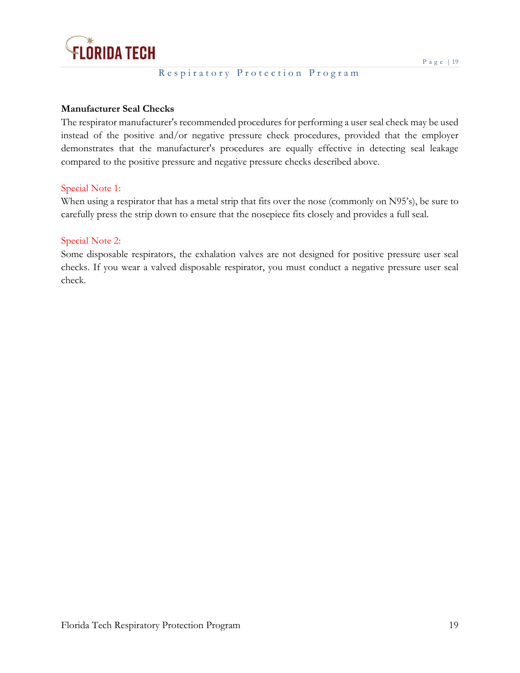

## **Manufacturer Seal Checks**

The respirator manufacturer's recommended procedures for performing a user seal check may be used instead of the positive and/or negative pressure check procedures, provided that the employer demonstrates that the manufacturer's procedures are equally effective in detecting seal leakage compared to the positive pressure and negative pressure checks described above.

#### Special Note 1:

When using a respirator that has a metal strip that fits over the nose (commonly on N95's), be sure to carefully press the strip down to ensure that the nosepiece fits closely and provides a full seal.

#### Special Note 2:

<span id="page-18-0"></span>Some disposable respirators, the exhalation valves are not designed for positive pressure user seal checks. If you wear a valved disposable respirator, you must conduct a negative pressure user seal check.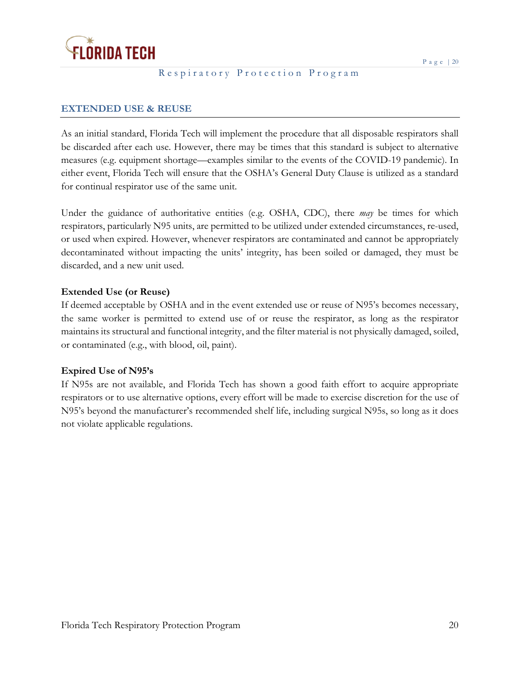

#### **EXTENDED USE & REUSE**

As an initial standard, Florida Tech will implement the procedure that all disposable respirators shall be discarded after each use. However, there may be times that this standard is subject to alternative measures (e.g. equipment shortage—examples similar to the events of the COVID-19 pandemic). In either event, Florida Tech will ensure that the OSHA's General Duty Clause is utilized as a standard for continual respirator use of the same unit.

Under the guidance of authoritative entities (e.g. OSHA, CDC), there *may* be times for which respirators, particularly N95 units, are permitted to be utilized under extended circumstances, re-used, or used when expired. However, whenever respirators are contaminated and cannot be appropriately decontaminated without impacting the units' integrity, has been soiled or damaged, they must be discarded, and a new unit used.

#### **Extended Use (or Reuse)**

If deemed acceptable by OSHA and in the event extended use or reuse of N95's becomes necessary, the same worker is permitted to extend use of or reuse the respirator, as long as the respirator maintains its structural and functional integrity, and the filter material is not physically damaged, soiled, or contaminated (e.g., with blood, oil, paint).

#### **Expired Use of N95's**

If N95s are not available, and Florida Tech has shown a good faith effort to acquire appropriate respirators or to use alternative options, every effort will be made to exercise discretion for the use of N95's beyond the manufacturer's recommended shelf life, including surgical N95s, so long as it does not violate applicable regulations.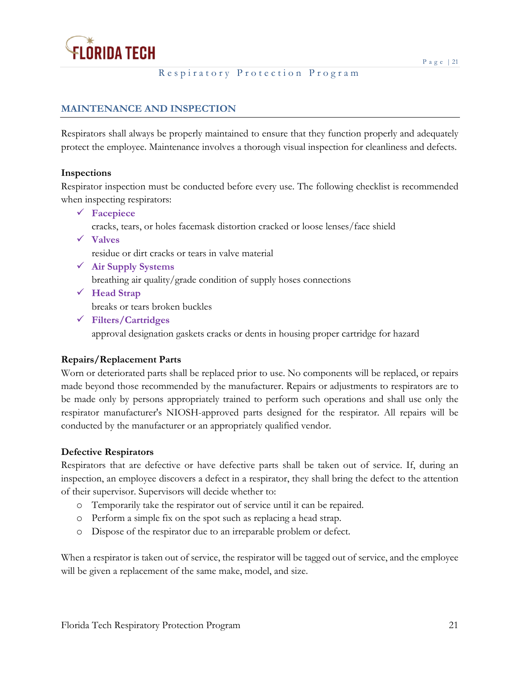

# <span id="page-20-0"></span>**MAINTENANCE AND INSPECTION**

Respirators shall always be properly maintained to ensure that they function properly and adequately protect the employee. Maintenance involves a thorough visual inspection for cleanliness and defects.

# **Inspections**

Respirator inspection must be conducted before every use. The following checklist is recommended when inspecting respirators:

**Facepiece** 

cracks, tears, or holes facemask distortion cracked or loose lenses/face shield

- **Valves** residue or dirt cracks or tears in valve material
- **Air Supply Systems** breathing air quality/grade condition of supply hoses connections
- **Head Strap** breaks or tears broken buckles **Filters/Cartridges** 
	- approval designation gaskets cracks or dents in housing proper cartridge for hazard

# <span id="page-20-1"></span>**Repairs/Replacement Parts**

Worn or deteriorated parts shall be replaced prior to use. No components will be replaced, or repairs made beyond those recommended by the manufacturer. Repairs or adjustments to respirators are to be made only by persons appropriately trained to perform such operations and shall use only the respirator manufacturer's NIOSH-approved parts designed for the respirator. All repairs will be conducted by the manufacturer or an appropriately qualified vendor.

# <span id="page-20-2"></span>**Defective Respirators**

Respirators that are defective or have defective parts shall be taken out of service. If, during an inspection, an employee discovers a defect in a respirator, they shall bring the defect to the attention of their supervisor. Supervisors will decide whether to:

- o Temporarily take the respirator out of service until it can be repaired.
- o Perform a simple fix on the spot such as replacing a head strap.
- o Dispose of the respirator due to an irreparable problem or defect.

When a respirator is taken out of service, the respirator will be tagged out of service, and the employee will be given a replacement of the same make, model, and size.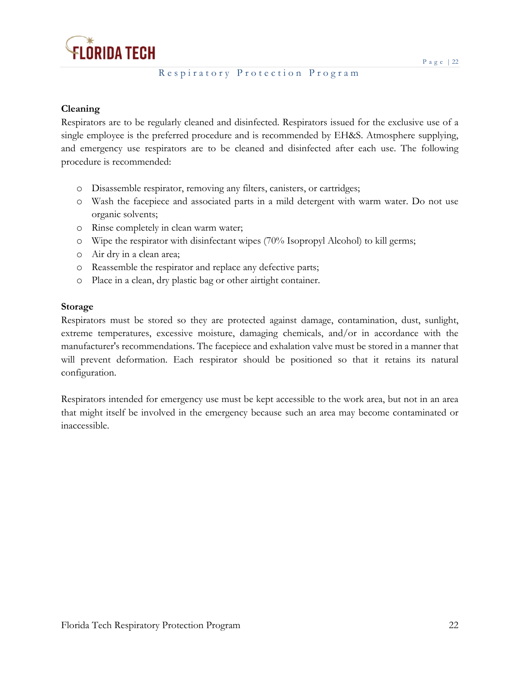

#### <span id="page-21-0"></span>**Cleaning**

Respirators are to be regularly cleaned and disinfected. Respirators issued for the exclusive use of a single employee is the preferred procedure and is recommended by EH&S. Atmosphere supplying, and emergency use respirators are to be cleaned and disinfected after each use. The following procedure is recommended:

- o Disassemble respirator, removing any filters, canisters, or cartridges;
- o Wash the facepiece and associated parts in a mild detergent with warm water. Do not use organic solvents;
- o Rinse completely in clean warm water;
- o Wipe the respirator with disinfectant wipes (70% Isopropyl Alcohol) to kill germs;
- o Air dry in a clean area;
- o Reassemble the respirator and replace any defective parts;
- o Place in a clean, dry plastic bag or other airtight container.

# **Storage**

Respirators must be stored so they are protected against damage, contamination, dust, sunlight, extreme temperatures, excessive moisture, damaging chemicals, and/or in accordance with the manufacturer's recommendations. The facepiece and exhalation valve must be stored in a manner that will prevent deformation. Each respirator should be positioned so that it retains its natural configuration.

Respirators intended for emergency use must be kept accessible to the work area, but not in an area that might itself be involved in the emergency because such an area may become contaminated or inaccessible.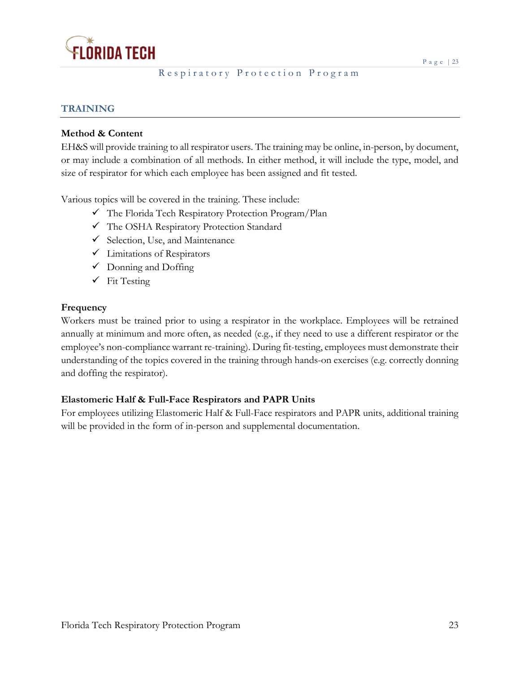

# <span id="page-22-0"></span>**TRAINING**

# <span id="page-22-1"></span>**Method & Content**

EH&S will provide training to all respirator users. The training may be online, in-person, by document, or may include a combination of all methods. In either method, it will include the type, model, and size of respirator for which each employee has been assigned and fit tested.

Various topics will be covered in the training. These include:

- The Florida Tech Respiratory Protection Program/Plan
- The OSHA Respiratory Protection Standard
- $\checkmark$  Selection, Use, and Maintenance
- $\checkmark$  Limitations of Respirators
- $\checkmark$  Donning and Doffing
- $\checkmark$  Fit Testing

# <span id="page-22-2"></span>**Frequency**

Workers must be trained prior to using a respirator in the workplace. Employees will be retrained annually at minimum and more often, as needed (e.g., if they need to use a different respirator or the employee's non-compliance warrant re-training). During fit-testing, employees must demonstrate their understanding of the topics covered in the training through hands-on exercises (e.g. correctly donning and doffing the respirator).

# <span id="page-22-3"></span>**Elastomeric Half & Full-Face Respirators and PAPR Units**

For employees utilizing Elastomeric Half & Full-Face respirators and PAPR units, additional training will be provided in the form of in-person and supplemental documentation.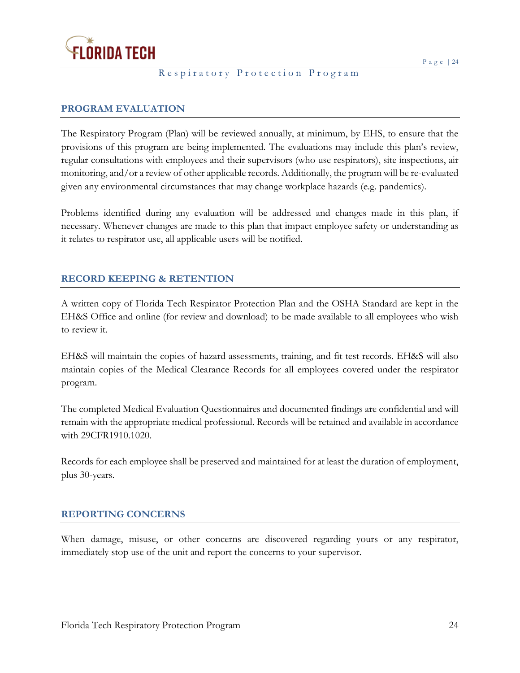

#### <span id="page-23-0"></span>**PROGRAM EVALUATION**

The Respiratory Program (Plan) will be reviewed annually, at minimum, by EHS, to ensure that the provisions of this program are being implemented. The evaluations may include this plan's review, regular consultations with employees and their supervisors (who use respirators), site inspections, air monitoring, and/or a review of other applicable records. Additionally, the program will be re-evaluated given any environmental circumstances that may change workplace hazards (e.g. pandemics).

Problems identified during any evaluation will be addressed and changes made in this plan, if necessary. Whenever changes are made to this plan that impact employee safety or understanding as it relates to respirator use, all applicable users will be notified.

# <span id="page-23-1"></span>**RECORD KEEPING & RETENTION**

A written copy of Florida Tech Respirator Protection Plan and the OSHA Standard are kept in the EH&S Office and online (for review and download) to be made available to all employees who wish to review it.

EH&S will maintain the copies of hazard assessments, training, and fit test records. EH&S will also maintain copies of the Medical Clearance Records for all employees covered under the respirator program.

The completed Medical Evaluation Questionnaires and documented findings are confidential and will remain with the appropriate medical professional. Records will be retained and available in accordance with 29CFR1910.1020.

Records for each employee shall be preserved and maintained for at least the duration of employment, plus 30-years.

# <span id="page-23-2"></span>**REPORTING CONCERNS**

When damage, misuse, or other concerns are discovered regarding yours or any respirator, immediately stop use of the unit and report the concerns to your supervisor.